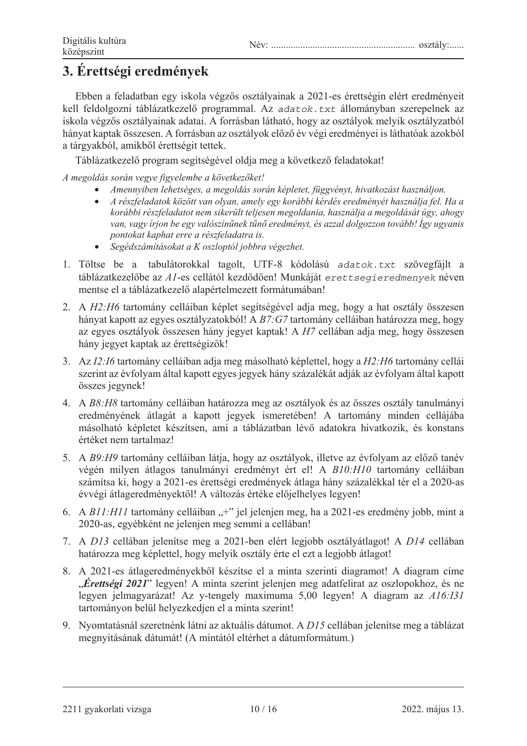## 3. Érettségi eredmények

Ebben a feladatban egy iskola végzős osztályainak a 2021-es érettségin elért eredményeit kell feldolgozni táblázatkezelő programmal. Az adatok.txt állományban szerepelnek az iskola végzős osztályainak adatai. A forrásban látható, hogy az osztályok melyik osztályzatból hányat kaptak összesen. A forrásban az osztályok előző év végi eredményei is láthatóak azokból a tárgyakból, amikből érettségit tettek.

Táblázatkezelő program segítségével oldja meg a következő feladatokat!

 $A$  megoldás során vegye figyelembe a következőket!

- *Amennyiben lehetséges, a megoldás során képletet, függvényt, hivatkozást használjon.*
- *A részfeladatok között van olyan, amely egy korábbi kérdés eredményét használja fel. Ha a korábbi részfeladatot nem sikerült teljesen megoldania, használja a megoldását úgy, ahogy van, vagy írjon be egy valószínĦnek tĦnĘ eredményt, és azzal dolgozzon tovább! Így ugyanis pontokat kaphat erre a részfeladatra is.*
- *Segédszámításokat a K oszloptól jobbra végezhet.*
- 1. Töltse be a tabulátorokkal tagolt, UTF-8 kódolású adatok.txt szövegfájlt a táblázatkezelőbe az A1-es cellától kezdődően! Munkáját erettsegieredmenyek néven mentse el a táblázatkezelő alapértelmezett formátumában!
- 2. A *H2:H6* tartomány celláiban képlet segítségével adja meg, hogy a hat osztály összesen hányat kapott az egyes osztályzatokból! A B7:G7 tartomány celláiban határozza meg, hogy az egyes osztályok összesen hány jegyet kaptak! A *H7* cellában adja meg, hogy összesen hány jegyet kaptak az érettségizők!
- 3. Az I2:16 tartomány celláiban adja meg másolható képlettel, hogy a H2:H6 tartomány cellái szerint az évfolyam által kapott egyes jegyek hány százalékát adják az évfolyam által kapott összes jegynek!
- 4. A  $B8:H8$  tartomány celláiban határozza meg az osztályok és az összes osztály tanulmányi eredményének átlagát a kapott jegyek ismeretében! A tartomány minden cellájába másolható képletet készítsen, ami a táblázatban lévő adatokra hivatkozik, és konstans értéket nem tartalmaz!
- 5. A B9:H9 tartomány celláiban látja, hogy az osztályok, illetve az évfolyam az előző tanév végén milyen átlagos tanulmányi eredményt ért el! A *B10:H10* tartomány celláiban számítsa ki, hogy a 2021-es érettségi eredmények átlaga hány százalékkal tér el a 2020-as évvégi átlageredményektől! A változás értéke előjelhelyes legyen!
- 6. A B11:H11 tartomány celláiban "+" jel jelenjen meg, ha a 2021-es eredmény jobb, mint a 2020-as, egyébként ne jelenjen meg semmi a cellában!
- 7. A *D13* cellában ielenítse meg a 2021-ben elért legiobb osztálvátlagot! A *D14* cellában határozza meg képlettel, hogy melyik osztály érte el ezt a legjobb átlagot!
- 8. A 2021-es átlageredményekből készítse el a minta szerinti diagramot! A diagram címe **"Érettségi 2021**" legyen! A minta szerint jelenjen meg adatfelirat az oszlopokhoz, és ne legyen jelmagyarázat! Az y-tengely maximuma 5,00 legyen! A diagram az A16:I31 tartományon belül helyezkedjen el a minta szerint!
- 9. Nyomtatásnál szeretnénk látni az aktuális dátumot. A *D15* cellában jelenítse meg a táblázat megnyitásának dátumát! (A mintától eltérhet a dátumformátum.)

 $2211$  gyakorlati vizsga $10/16$   $2022$ . május 13.